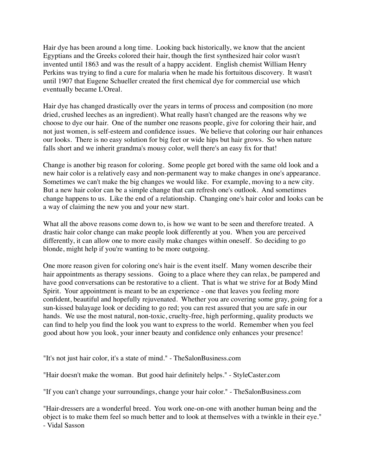Hair dye has been around a long time. Looking back historically, we know that the ancient Egyptians and the Greeks colored their hair, though the first synthesized hair color wasn't invented until 1863 and was the result of a happy accident. English chemist William Henry Perkins was trying to find a cure for malaria when he made his fortuitous discovery. It wasn't until 1907 that Eugene Schueller created the first chemical dye for commercial use which eventually became L'Oreal.

Hair dye has changed drastically over the years in terms of process and composition (no more dried, crushed leeches as an ingredient). What really hasn't changed are the reasons why we choose to dye our hair. One of the number one reasons people, give for coloring their hair, and not just women, is self-esteem and confidence issues. We believe that coloring our hair enhances our looks. There is no easy solution for big feet or wide hips but hair grows. So when nature falls short and we inherit grandma's mousy color, well there's an easy fix for that!

Change is another big reason for coloring. Some people get bored with the same old look and a new hair color is a relatively easy and non-permanent way to make changes in one's appearance. Sometimes we can't make the big changes we would like. For example, moving to a new city. But a new hair color can be a simple change that can refresh one's outlook. And sometimes change happens to us. Like the end of a relationship. Changing one's hair color and looks can be a way of claiming the new you and your new start.

What all the above reasons come down to, is how we want to be seen and therefore treated. A drastic hair color change can make people look differently at you. When you are perceived differently, it can allow one to more easily make changes within oneself. So deciding to go blonde, might help if you're wanting to be more outgoing.

One more reason given for coloring one's hair is the event itself. Many women describe their hair appointments as therapy sessions. Going to a place where they can relax, be pampered and have good conversations can be restorative to a client. That is what we strive for at Body Mind Spirit. Your appointment is meant to be an experience - one that leaves you feeling more confident, beautiful and hopefully rejuvenated. Whether you are covering some gray, going for a sun-kissed balayage look or deciding to go red; you can rest assured that you are safe in our hands. We use the most natural, non-toxic, cruelty-free, high performing, quality products we can find to help you find the look you want to express to the world. Remember when you feel good about how you look, your inner beauty and confidence only enhances your presence!

"It's not just hair color, it's a state of mind." - TheSalonBusiness.com

"Hair doesn't make the woman. But good hair definitely helps." - StyleCaster.com

"If you can't change your surroundings, change your hair color." - TheSalonBusiness.com

"Hair-dressers are a wonderful breed. You work one-on-one with another human being and the object is to make them feel so much better and to look at themselves with a twinkle in their eye." - Vidal Sasson